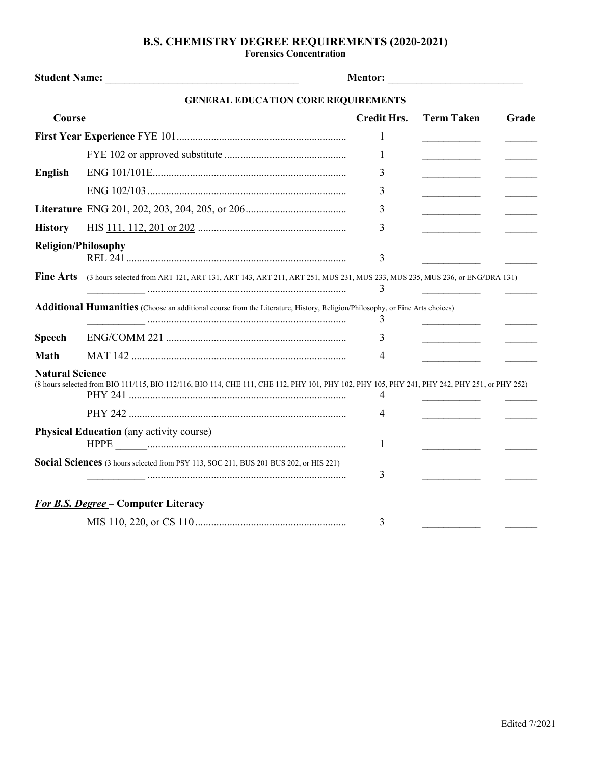## **B.S. CHEMISTRY DEGREE REQUIREMENTS (2020-2021)**

**Forensics Concentration**

|                        | <b>GENERAL EDUCATION CORE REQUIREMENTS</b>                                                                                                    |                    |                   |       |
|------------------------|-----------------------------------------------------------------------------------------------------------------------------------------------|--------------------|-------------------|-------|
| Course                 |                                                                                                                                               | <b>Credit Hrs.</b> | <b>Term Taken</b> | Grade |
|                        |                                                                                                                                               | 1                  |                   |       |
|                        |                                                                                                                                               | 1                  |                   |       |
| <b>English</b>         |                                                                                                                                               | 3                  |                   |       |
|                        |                                                                                                                                               | 3                  |                   |       |
|                        |                                                                                                                                               | 3                  |                   |       |
| <b>History</b>         |                                                                                                                                               | 3                  |                   |       |
|                        | <b>Religion/Philosophy</b>                                                                                                                    | 3                  |                   |       |
| <b>Fine Arts</b>       | (3 hours selected from ART 121, ART 131, ART 143, ART 211, ART 251, MUS 231, MUS 233, MUS 235, MUS 236, or ENG/DRA 131)                       | 3                  |                   |       |
|                        | Additional Humanities (Choose an additional course from the Literature, History, Religion/Philosophy, or Fine Arts choices)                   | 3                  |                   |       |
| <b>Speech</b>          |                                                                                                                                               | 3                  |                   |       |
| <b>Math</b>            |                                                                                                                                               | 4                  |                   |       |
| <b>Natural Science</b> | (8 hours selected from BIO 111/115, BIO 112/116, BIO 114, CHE 111, CHE 112, PHY 101, PHY 102, PHY 105, PHY 241, PHY 242, PHY 251, or PHY 252) | 4                  |                   |       |
|                        |                                                                                                                                               | 4                  |                   |       |
|                        | <b>Physical Education</b> (any activity course)                                                                                               | 1                  |                   |       |
|                        | Social Sciences (3 hours selected from PSY 113, SOC 211, BUS 201 BUS 202, or HIS 221)                                                         | 3                  |                   |       |
|                        | <b>For B.S. Degree – Computer Literacy</b>                                                                                                    |                    |                   |       |
|                        |                                                                                                                                               | 3                  |                   |       |